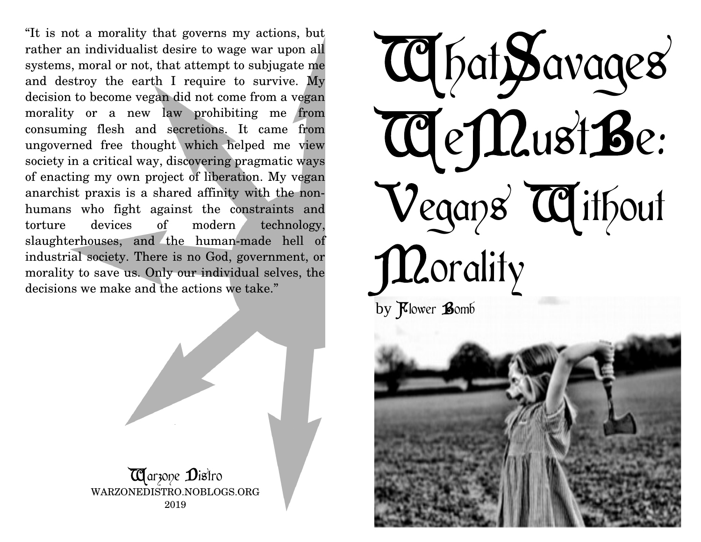"It is not a morality that governs my actions, but rather an individualist desire to wage war upon all systems, moral or not, that attempt to subjugate me and destroy the earth I require to survive. My decision to become vegan did not come from a vegan morality or a new law prohibiting me from consuming flesh and secretions. It came from ungoverned free thought which helped me view society in a critical way, discovering pragmatic ways of enacting my own project of liberation. My vegan anarchist praxis is a shared affinity with the nonhumans who fight against the constraints and torture devices of modern technology, slaughterhouses, and the human-made hell of industrial society. There is no God, government, or morality to save us. Only our individual selves, the decisions we make and the actions we take."



.

WhatSavages WeMustBe; Vegans Without **Manality** by Klower Bomb

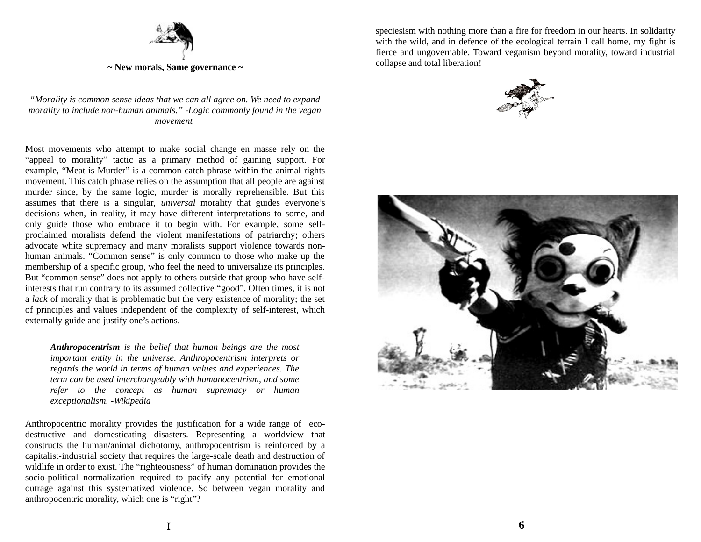

*"Morality is common sense ideas that we can all agree on. We need to expand morality to include non-human animals." -Logic commonly found in the vegan movement* 

Most movements who attempt to make social change en masse rely on the "appeal to morality" tactic as a primary method of gaining support. For example, "Meat is Murder" is a common catch phrase within the animal rights movement. This catch phrase relies on the assumption that all people are against murder since, by the same logic, murder is morally reprehensible. But this assumes that there is a singular, *universal* morality that guides everyone's decisions when, in reality, it may have different interpretations to some, and only guide those who embrace it to begin with. For example, some selfproclaimed moralists defend the violent manifestations of patriarchy; others advocate white supremacy and many moralists support violence towards nonhuman animals. "Common sense" is only common to those who make up the membership of a specific group, who feel the need to universalize its principles. But "common sense" does not apply to others outside that group who have selfinterests that run contrary to its assumed collective "good". Often times, it is not a *lack* of morality that is problematic but the very existence of morality; the set of principles and values independent of the complexity of self-interest, which externally guide and justify one's actions.

*Anthropocentrism is the belief that human beings are the most important entity in the universe. Anthropocentrism interprets or regards the world in terms of human values and experiences. The term can be used interchangeably with humanocentrism, and some refer to the concept as human supremacy or human exceptionalism. -Wikipedia*

Anthropocentric morality provides the justification for a wide range of ecodestructive and domesticating disasters. Representing a worldview that constructs the human/animal dichotomy, anthropocentrism is reinforced by a capitalist-industrial society that requires the large-scale death and destruction of wildlife in order to exist. The "righteousness" of human domination provides the socio-political normalization required to pacify any potential for emotional outrage against this systematized violence. So between vegan morality and anthropocentric morality, which one is "right"?

speciesism with nothing more than a fire for freedom in our hearts. In solidarity with the wild, and in defence of the ecological terrain I call home, my fight is fierce and ungovernable. Toward veganism beyond morality, toward industrial collapse and total liberation!



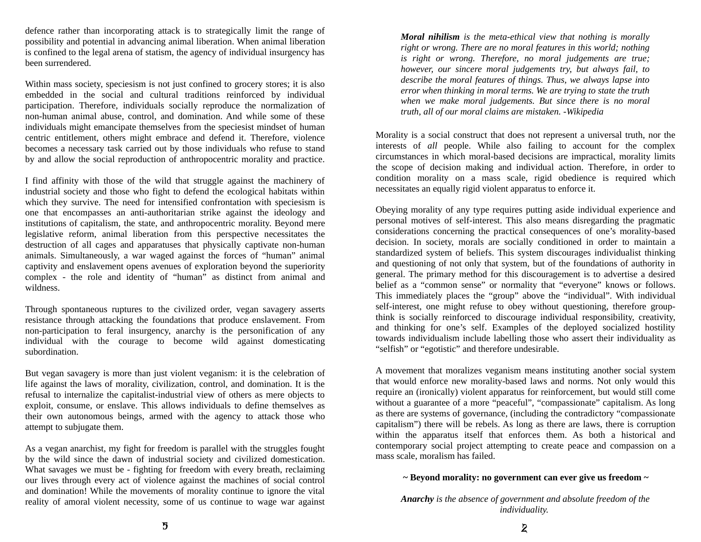defence rather than incorporating attack is to strategically limit the range of possibility and potential in advancing animal liberation. When animal liberation is confined to the legal arena of statism, the agency of individual insurgency has been surrendered.

Within mass society, speciesism is not just confined to grocery stores; it is also embedded in the social and cultural traditions reinforced by individual participation. Therefore, individuals socially reproduce the normalization of non-human animal abuse, control, and domination. And while some of these individuals might emancipate themselves from the speciesist mindset of human centric entitlement, others might embrace and defend it. Therefore, violence becomes a necessary task carried out by those individuals who refuse to stand by and allow the social reproduction of anthropocentric morality and practice.

I find affinity with those of the wild that struggle against the machinery of industrial society and those who fight to defend the ecological habitats within which they survive. The need for intensified confrontation with speciesism is one that encompasses an anti-authoritarian strike against the ideology and institutions of capitalism, the state, and anthropocentric morality. Beyond mere legislative reform, animal liberation from this perspective necessitates the destruction of all cages and apparatuses that physically captivate non-human animals. Simultaneously, a war waged against the forces of "human" animal captivity and enslavement opens avenues of exploration beyond the superiority complex - the role and identity of "human" as distinct from animal and wildness.

Through spontaneous ruptures to the civilized order, vegan savagery asserts resistance through attacking the foundations that produce enslavement. From non-participation to feral insurgency, anarchy is the personification of any individual with the courage to become wild against domesticating subordination.

But vegan savagery is more than just violent veganism: it is the celebration of life against the laws of morality, civilization, control, and domination. It is the refusal to internalize the capitalist-industrial view of others as mere objects to exploit, consume, or enslave. This allows individuals to define themselves as their own autonomous beings, armed with the agency to attack those who attempt to subjugate them.

As a vegan anarchist, my fight for freedom is parallel with the struggles fought by the wild since the dawn of industrial society and civilized domestication. What savages we must be - fighting for freedom with every breath, reclaiming our lives through every act of violence against the machines of social control and domination! While the movements of morality continue to ignore the vital reality of amoral violent necessity, some of us continue to wage war against

*Moral nihilism is the meta-ethical view that nothing is morally right or wrong. There are no moral features in this world; nothing is right or wrong. Therefore, no moral judgements are true; however, our sincere moral judgements try, but always fail, to describe the moral features of things. Thus, we always lapse into error when thinking in moral terms. We are trying to state the truth when we make moral judgements. But since there is no moral truth, all of our moral claims are mistaken. -Wikipedia*

Morality is a social construct that does not represent a universal truth, nor the interests of *all* people. While also failing to account for the complex circumstances in which moral-based decisions are impractical, morality limits the scope of decision making and individual action. Therefore, in order to condition morality on a mass scale, rigid obedience is required which necessitates an equally rigid violent apparatus to enforce it.

Obeying morality of any type requires putting aside individual experience and personal motives of self-interest. This also means disregarding the pragmatic considerations concerning the practical consequences of one's morality-based decision. In society, morals are socially conditioned in order to maintain a standardized system of beliefs. This system discourages individualist thinking and questioning of not only that system, but of the foundations of authority in general. The primary method for this discouragement is to advertise a desired belief as a "common sense" or normality that "everyone" knows or follows. This immediately places the "group" above the "individual". With individual self-interest, one might refuse to obey without questioning, therefore groupthink is socially reinforced to discourage individual responsibility, creativity, and thinking for one's self. Examples of the deployed socialized hostility towards individualism include labelling those who assert their individuality as "selfish" or "egotistic" and therefore undesirable.

A movement that moralizes veganism means instituting another social system that would enforce new morality-based laws and norms. Not only would this require an (ironically) violent apparatus for reinforcement, but would still come without a guarantee of a more "peaceful", "compassionate" capitalism. As long as there are systems of governance, (including the contradictory "compassionate capitalism") there will be rebels. As long as there are laws, there is corruption within the apparatus itself that enforces them. As both a historical and contemporary social project attempting to create peace and compassion on a mass scale, moralism has failed.

## **~ Beyond morality: no government can ever give us freedom ~**

*Anarchy is the absence of government and absolute freedom of the individuality.*